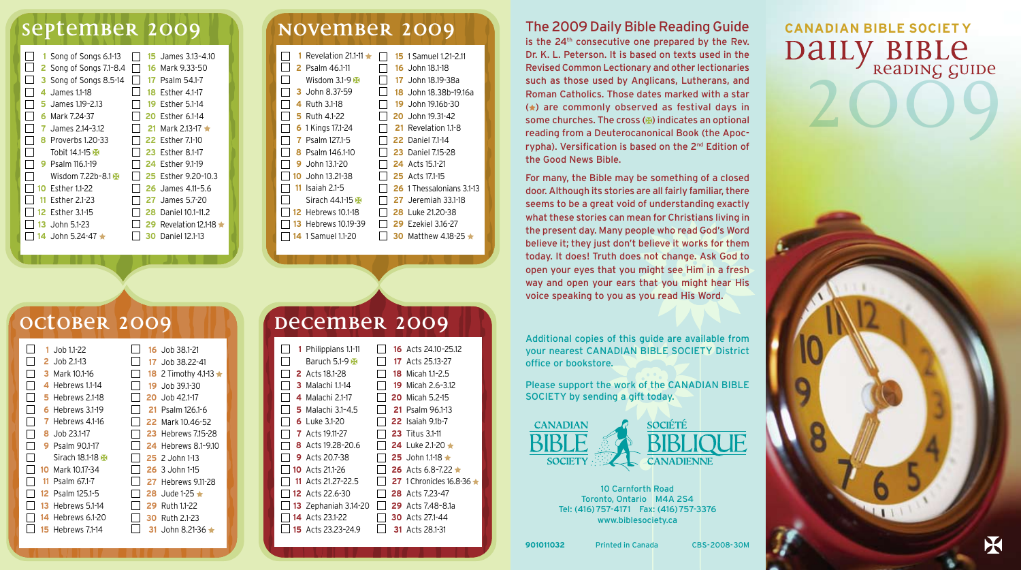## **september 2009 november 2009**

|     | 1 Song of Songs 6.1-13    |     | <b>15</b> James 3.13-4.10  |  |   | 1 Revelation 21.1-11      |
|-----|---------------------------|-----|----------------------------|--|---|---------------------------|
|     | 2 Song of Songs 7.1-8.4   |     | 16 Mark 9.33-50            |  |   | <b>2</b> Psalm 46.1-11    |
|     | 3 Song of Songs 8.5-14    | 17  | Psalm 54.1-7               |  |   | Wisdom 3.1-9 $H$          |
|     | James 1.1-18              | 18  | Esther 4.1-17              |  |   | 3 John 8.37-59            |
|     | James 1.19-2.13           | 19  | Esther 5.1-14              |  |   | 4 Ruth 3.1-18             |
| 6   | Mark 7.24-37              |     | 20 Esther 6.1-14           |  |   | 5 Ruth 4.1-22             |
|     | James 2.14-3.12           | 21. | Mark 2.13-17 $\star$       |  |   | 6 1 Kings 17.1-24         |
|     | <b>8</b> Proverbs 1.20-33 |     | 22 Esther 7.1-10           |  | 7 | Psalm 127.1-5             |
|     | Tobit 14.1-15             |     | <b>23 Esther 8.1-17</b>    |  | 8 | Psalm 146.1-10            |
|     | <b>9</b> Psalm 116.1-19   |     | 24 Esther 9.1-19           |  | 9 | John 13.1-20              |
|     | Wisdom $7.22b - 8.1H$     |     | 25 Esther 9.20-10.3        |  |   | 10 John 13.21-38          |
|     | <b>10 Esther 1.1-22</b>   |     | 26 James 4.11-5.6          |  |   | <b>11</b> Isaiah 2.1-5    |
| 11. | Esther 2.1-23             | 27  | James 5.7-20               |  |   | Sirach 44.1-15            |
|     | 12 Esther 3.1-15          | 28  | Daniel 10.1-11.2           |  |   | <b>12 Hebrews 10.1-18</b> |
| 13  | John 5.1-23               | 29  | Revelation 12.1-18 $\star$ |  |   | 13 Hebrews 10.19-39       |
| 14. | John 5.24-47 $\star$      | 30  | Daniel 12.1-13             |  |   | 14 1 Samuel 1.1-20        |
|     |                           |     |                            |  |   |                           |

|  | Revelation 21.1-11        |  | <b>15</b> 1 Samuel 1.21-2.11 |
|--|---------------------------|--|------------------------------|
|  | <b>2</b> Psalm 46.1-11    |  | 16 John 18.1-18              |
|  | Wisdom 3.1-9 $H$          |  | 17 John 18.19-38a            |
|  | 3 John 8.37-59            |  | 18 John 18.38b-19.16a        |
|  | Ruth 3.1-18<br>4          |  | 19 John 19.16b-30            |
|  | <b>5</b> Ruth 4.1-22      |  | 20 John 19.31-42             |
|  | 6 1 Kings 17.1-24         |  | 21 Revelation 1.1-8          |
|  | Psalm 127.1-5             |  | <b>22</b> Daniel 7.1-14      |
|  | Psalm 146.1-10<br>8       |  | <b>23</b> Daniel 7.15-28     |
|  | John 13.1-20<br>9         |  | <b>24</b> Acts 15.1-21       |
|  | 10 John 13.21-38          |  | <b>25</b> Acts 17.1-15       |
|  | Isaiah 2.1-5<br>11        |  | 26 1 Thessalonians 3.1-13    |
|  | Sirach 44.1-15            |  | <b>27</b> Jeremiah 33.1-18   |
|  | <b>12</b> Hebrews 10.1-18 |  | <b>28</b> Luke 21.20-38      |
|  | Hebrews 10.19-39<br>13    |  | <b>29</b> Ezekiel 3.16-27    |
|  | <b>14</b> 1 Samuel 1.1-20 |  | 30 Matthew 4.18-25 $\star$   |

### The 2009 Daily Bible Reading Guide

is the 24<sup>th</sup> consecutive one prepared by the Rev. Dr. K. L. Peterson. It is based on texts used in the Revised Common Lectionary and other lectionaries such as those used by Anglicans, Lutherans, and Roman Catholics. Those dates marked with a star  $(*)$  are commonly observed as festival days in some churches. The cross  $(E)$  indicates an optional reading from a Deuterocanonical Book (the Apocrypha). Versification is based on the 2<sup>nd</sup> Edition of the Good News Bible.

For many, the Bible may be something of a closed door. Although its stories are all fairly familiar, there seems to be a great void of understanding exactly what these stories can mean for Christians living in the present day. Many people who read God's Word believe it; they just don't believe it works for them today. It does! Truth does not change. Ask God to open your eyes that you might see Him in a fresh way and open your ears that you might hear His voice speaking to you as you read His Word.

Additional copies of this guide are available from your nearest CANADIAN BIBLE SOCIETY District office or bookstore.

Please support the work of the CANADIAN BIBLE SOCIETY by sending a gift today.



10 Carnforth Road Toronto, Ontario M4A 2S4 Tel: (416)757-4171 Fax: (416)757-3376

**SOCIÉTÉ** 

## www.biblesociety.ca

DAILY BIBLE **CANADIAN BIBLE SOCIET Y**

| 1   | Job 1.1-22     |     | 16 Job 38.1-21                  |
|-----|----------------|-----|---------------------------------|
|     | 2 Job 2.1-13   |     | 17 Job 38.22-41                 |
|     | Mark 10.1-16   |     | 18 2 Timothy 4.1-13 $\triangle$ |
| 4   | Hebrews 1.1-14 | 19. | Job 39.1-30                     |
| 5   | Hebrews 2.1-18 |     | 20 Job 42.1-17                  |
| 6   | Hebrews 3.1-19 | 21. | Psalm 126.1-6                   |
|     | Hebrews 4.1-16 |     | 22 Mark 10.46-52                |
| 8   | Job 23.1-17    |     | <b>23 Hebrews 7.15-28</b>       |
|     | Psalm 90.1-17  |     | <b>24 Hebrews 8.1-9.10</b>      |
|     | Sirach 18.1-18 |     | $25$ 2. John 1-13               |
| 10  | Mark 10.17-34  |     | $26.3$ John 1-15                |
| 11  | Psalm 67.1-7   |     | <b>27</b> Hebrews 9.11-28       |
| 12. | Psalm 125.1-5  |     | 28 Jude 1-25 $\star$            |
| 13  | Hebrews 5.1-14 | 29  | Ruth 1.1-22                     |
| 14  | Hebrews 6.1-20 | 30  | Ruth 2.1-23                     |
|     | Hebrews 7.1-14 |     | .John 8.21-36 $\pm$             |
|     |                |     |                                 |

## **october 2009 | | | | | | | December 2009**

|  | 1 Philippians 1.1-11        | <b>16</b> Acts 24.10-25.12     |
|--|-----------------------------|--------------------------------|
|  | <b>Baruch 5.1-9 A</b>       | <b>17</b> Acts 25.13-27        |
|  | <b>2</b> Acts 18.1-28       | 18 Micah 1.1-2.5               |
|  | <b>3</b> Malachi 1.1-14     | <b>19</b> Micah 2.6-3.12       |
|  | 4 Malachi 2.1-17            | <b>20</b> Micah 5.2-15         |
|  | 5 Malachi 31-4.5            | <b>21</b> Psalm 96.1-13        |
|  | 6 Luke 3.1-20               | <b>22</b> Isaiah 9.1b-7        |
|  | <b>7</b> Acts 19.11-27      | <b>23</b> Titus 3.1-11         |
|  | <b>8</b> Acts 19.28-20.6    | 24 Luke 2.1-20 $\pm$           |
|  | <b>9</b> Acts 20.7-38       | <b>25</b> John 1.1-18 ★        |
|  | <b>10</b> Acts 21.1-26      | 26 Acts 6.8-7.22 $\star$       |
|  | 11 Acts 21.27-22.5          | <b>27</b> 1 Chronicles 16.8-36 |
|  | 12 Acts 22.6-30             | 28 Acts 7.23-47                |
|  | <b>13</b> Zephaniah 3.14-20 | <b>29</b> Acts 7.48-8.1a       |
|  | 14 Acts 23.1-22             | <b>30</b> Acts 27.1-44         |
|  | <b>15</b> Acts 23.23-24.9   | <b>31</b> Acts 28.1-31         |
|  |                             |                                |